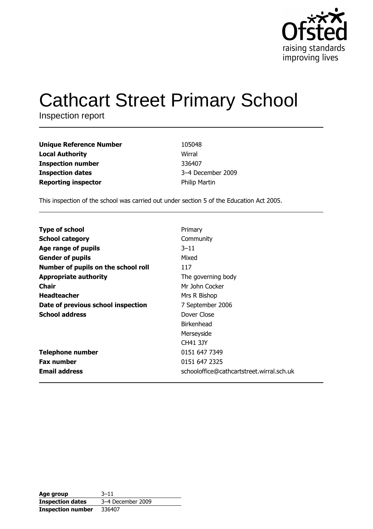

# **Cathcart Street Primary School**

Inspection report

| <b>Unique Reference Number</b> | 105048               |
|--------------------------------|----------------------|
| <b>Local Authority</b>         | Wirral               |
| <b>Inspection number</b>       | 336407               |
| <b>Inspection dates</b>        | 3-4 December 2009    |
| <b>Reporting inspector</b>     | <b>Philip Martin</b> |

This inspection of the school was carried out under section 5 of the Education Act 2005.

| <b>Type of school</b>               | Primary                                   |
|-------------------------------------|-------------------------------------------|
|                                     |                                           |
| <b>School category</b>              | Community                                 |
| Age range of pupils                 | $3 - 11$                                  |
| <b>Gender of pupils</b>             | Mixed                                     |
| Number of pupils on the school roll | 117                                       |
| <b>Appropriate authority</b>        | The governing body                        |
| Chair                               | Mr John Cocker                            |
| <b>Headteacher</b>                  | Mrs R Bishop                              |
| Date of previous school inspection  | 7 September 2006                          |
| <b>School address</b>               | Dover Close                               |
|                                     | <b>Birkenhead</b>                         |
|                                     | Merseyside                                |
|                                     | <b>CH41 3JY</b>                           |
| <b>Telephone number</b>             | 0151 647 7349                             |
| <b>Fax number</b>                   | 0151 647 2325                             |
| <b>Email address</b>                | schooloffice@cathcartstreet.wirral.sch.uk |

| Age group                | $3 - 11$          |
|--------------------------|-------------------|
| <b>Inspection dates</b>  | 3-4 December 2009 |
| <b>Inspection number</b> | 336407            |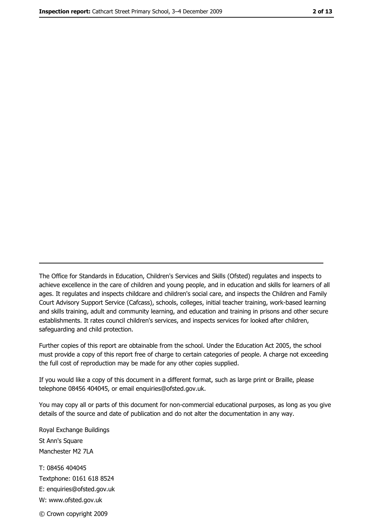The Office for Standards in Education, Children's Services and Skills (Ofsted) regulates and inspects to achieve excellence in the care of children and young people, and in education and skills for learners of all ages. It regulates and inspects childcare and children's social care, and inspects the Children and Family Court Advisory Support Service (Cafcass), schools, colleges, initial teacher training, work-based learning and skills training, adult and community learning, and education and training in prisons and other secure establishments. It rates council children's services, and inspects services for looked after children, safequarding and child protection.

Further copies of this report are obtainable from the school. Under the Education Act 2005, the school must provide a copy of this report free of charge to certain categories of people. A charge not exceeding the full cost of reproduction may be made for any other copies supplied.

If you would like a copy of this document in a different format, such as large print or Braille, please telephone 08456 404045, or email enquiries@ofsted.gov.uk.

You may copy all or parts of this document for non-commercial educational purposes, as long as you give details of the source and date of publication and do not alter the documentation in any way.

Royal Exchange Buildings St Ann's Square Manchester M2 7LA T: 08456 404045 Textphone: 0161 618 8524 E: enquiries@ofsted.gov.uk W: www.ofsted.gov.uk © Crown copyright 2009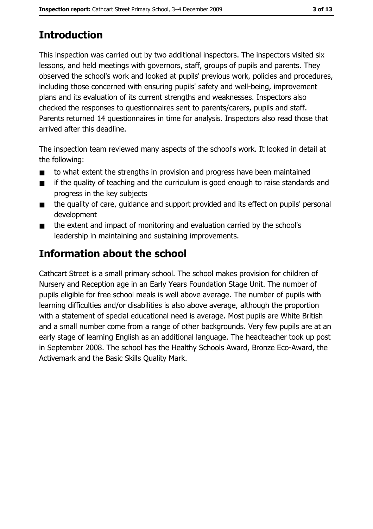# **Introduction**

This inspection was carried out by two additional inspectors. The inspectors visited six lessons, and held meetings with governors, staff, groups of pupils and parents. They observed the school's work and looked at pupils' previous work, policies and procedures, including those concerned with ensuring pupils' safety and well-being, improvement plans and its evaluation of its current strengths and weaknesses. Inspectors also checked the responses to questionnaires sent to parents/carers, pupils and staff. Parents returned 14 questionnaires in time for analysis. Inspectors also read those that arrived after this deadline.

The inspection team reviewed many aspects of the school's work. It looked in detail at the following:

- to what extent the strengths in provision and progress have been maintained  $\blacksquare$
- if the quality of teaching and the curriculum is good enough to raise standards and  $\blacksquare$ progress in the key subjects
- the quality of care, quidance and support provided and its effect on pupils' personal  $\blacksquare$ development
- the extent and impact of monitoring and evaluation carried by the school's  $\blacksquare$ leadership in maintaining and sustaining improvements.

# Information about the school

Cathcart Street is a small primary school. The school makes provision for children of Nursery and Reception age in an Early Years Foundation Stage Unit. The number of pupils eligible for free school meals is well above average. The number of pupils with learning difficulties and/or disabilities is also above average, although the proportion with a statement of special educational need is average. Most pupils are White British and a small number come from a range of other backgrounds. Very few pupils are at an early stage of learning English as an additional language. The headteacher took up post in September 2008. The school has the Healthy Schools Award, Bronze Eco-Award, the Activemark and the Basic Skills Quality Mark.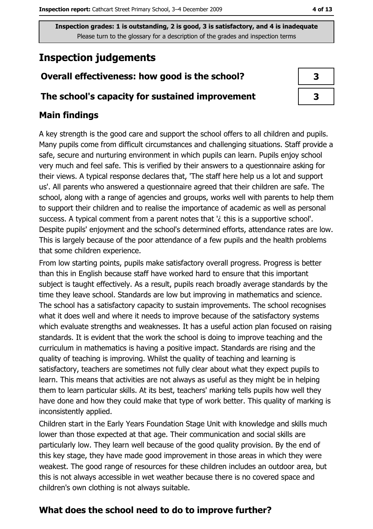# **Inspection judgements**

## Overall effectiveness: how good is the school?

#### The school's capacity for sustained improvement

## **Main findings**

A key strength is the good care and support the school offers to all children and pupils. Many pupils come from difficult circumstances and challenging situations. Staff provide a safe, secure and nurturing environment in which pupils can learn. Pupils enjoy school very much and feel safe. This is verified by their answers to a questionnaire asking for their views. A typical response declares that, 'The staff here help us a lot and support us'. All parents who answered a questionnaire agreed that their children are safe. The school, along with a range of agencies and groups, works well with parents to help them to support their children and to realise the importance of academic as well as personal success. A typical comment from a parent notes that 'i this is a supportive school'. Despite pupils' enjoyment and the school's determined efforts, attendance rates are low. This is largely because of the poor attendance of a few pupils and the health problems that some children experience.

From low starting points, pupils make satisfactory overall progress. Progress is better than this in English because staff have worked hard to ensure that this important subject is taught effectively. As a result, pupils reach broadly average standards by the time they leave school. Standards are low but improving in mathematics and science. The school has a satisfactory capacity to sustain improvements. The school recognises what it does well and where it needs to improve because of the satisfactory systems which evaluate strengths and weaknesses. It has a useful action plan focused on raising standards. It is evident that the work the school is doing to improve teaching and the curriculum in mathematics is having a positive impact. Standards are rising and the quality of teaching is improving. Whilst the quality of teaching and learning is satisfactory, teachers are sometimes not fully clear about what they expect pupils to learn. This means that activities are not always as useful as they might be in helping them to learn particular skills. At its best, teachers' marking tells pupils how well they have done and how they could make that type of work better. This quality of marking is inconsistently applied.

Children start in the Early Years Foundation Stage Unit with knowledge and skills much lower than those expected at that age. Their communication and social skills are particularly low. They learn well because of the good quality provision. By the end of this key stage, they have made good improvement in those areas in which they were weakest. The good range of resources for these children includes an outdoor area, but this is not always accessible in wet weather because there is no covered space and children's own clothing is not always suitable.

# What does the school need to do to improve further?

4 of 13

| 3 |
|---|
| 3 |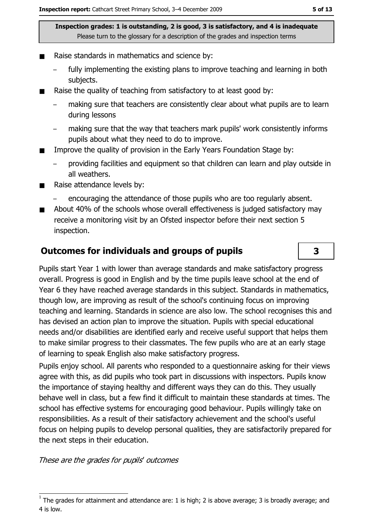- Raise standards in mathematics and science by:
	- fully implementing the existing plans to improve teaching and learning in both subjects.
- Raise the quality of teaching from satisfactory to at least good by:  $\blacksquare$ 
	- making sure that teachers are consistently clear about what pupils are to learn during lessons
	- making sure that the way that teachers mark pupils' work consistently informs pupils about what they need to do to improve.
- Improve the quality of provision in the Early Years Foundation Stage by:  $\blacksquare$ 
	- providing facilities and equipment so that children can learn and play outside in all weathers.
- Raise attendance levels by:  $\blacksquare$ 
	- encouraging the attendance of those pupils who are too regularly absent.
- About 40% of the schools whose overall effectiveness is judged satisfactory may  $\blacksquare$ receive a monitoring visit by an Ofsted inspector before their next section 5 inspection.

## **Outcomes for individuals and groups of pupils**

Pupils start Year 1 with lower than average standards and make satisfactory progress overall. Progress is good in English and by the time pupils leave school at the end of Year 6 they have reached average standards in this subject. Standards in mathematics, though low, are improving as result of the school's continuing focus on improving teaching and learning. Standards in science are also low. The school recognises this and has devised an action plan to improve the situation. Pupils with special educational needs and/or disabilities are identified early and receive useful support that helps them to make similar progress to their classmates. The few pupils who are at an early stage of learning to speak English also make satisfactory progress.

Pupils enjoy school. All parents who responded to a questionnaire asking for their views agree with this, as did pupils who took part in discussions with inspectors. Pupils know the importance of staying healthy and different ways they can do this. They usually behave well in class, but a few find it difficult to maintain these standards at times. The school has effective systems for encouraging good behaviour. Pupils willingly take on responsibilities. As a result of their satisfactory achievement and the school's useful focus on helping pupils to develop personal qualities, they are satisfactorily prepared for the next steps in their education.

These are the grades for pupils' outcomes

 $\overline{\mathbf{3}}$ 

The grades for attainment and attendance are: 1 is high; 2 is above average; 3 is broadly average; and 4 is low.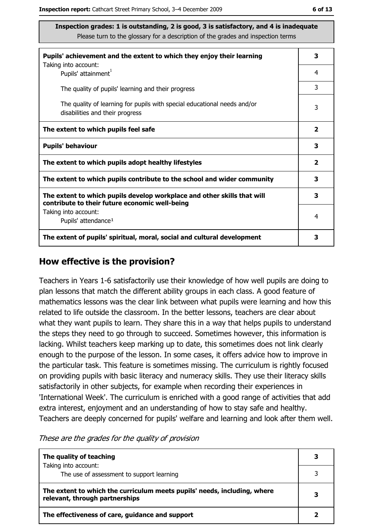| Pupils' achievement and the extent to which they enjoy their learning                                                     | 3                       |
|---------------------------------------------------------------------------------------------------------------------------|-------------------------|
| Taking into account:<br>Pupils' attainment <sup>1</sup>                                                                   | 4                       |
| The quality of pupils' learning and their progress                                                                        | 3                       |
| The quality of learning for pupils with special educational needs and/or<br>disabilities and their progress               | 3                       |
| The extent to which pupils feel safe                                                                                      | $\overline{\mathbf{2}}$ |
| <b>Pupils' behaviour</b>                                                                                                  | 3                       |
| The extent to which pupils adopt healthy lifestyles                                                                       | $\overline{\mathbf{2}}$ |
| The extent to which pupils contribute to the school and wider community                                                   | 3                       |
| The extent to which pupils develop workplace and other skills that will<br>contribute to their future economic well-being | 3                       |
| Taking into account:<br>Pupils' attendance <sup>1</sup>                                                                   | 4                       |
| The extent of pupils' spiritual, moral, social and cultural development                                                   |                         |

#### How effective is the provision?

Teachers in Years 1-6 satisfactorily use their knowledge of how well pupils are doing to plan lessons that match the different ability groups in each class. A good feature of mathematics lessons was the clear link between what pupils were learning and how this related to life outside the classroom. In the better lessons, teachers are clear about what they want pupils to learn. They share this in a way that helps pupils to understand the steps they need to go through to succeed. Sometimes however, this information is lacking. Whilst teachers keep marking up to date, this sometimes does not link clearly enough to the purpose of the lesson. In some cases, it offers advice how to improve in the particular task. This feature is sometimes missing. The curriculum is rightly focused on providing pupils with basic literacy and numeracy skills. They use their literacy skills satisfactorily in other subjects, for example when recording their experiences in 'International Week'. The curriculum is enriched with a good range of activities that add extra interest, enjoyment and an understanding of how to stay safe and healthy. Teachers are deeply concerned for pupils' welfare and learning and look after them well.

These are the grades for the quality of provision

| The quality of teaching                                                                                    |  |
|------------------------------------------------------------------------------------------------------------|--|
| Taking into account:<br>The use of assessment to support learning                                          |  |
| The extent to which the curriculum meets pupils' needs, including, where<br>relevant, through partnerships |  |
| The effectiveness of care, guidance and support                                                            |  |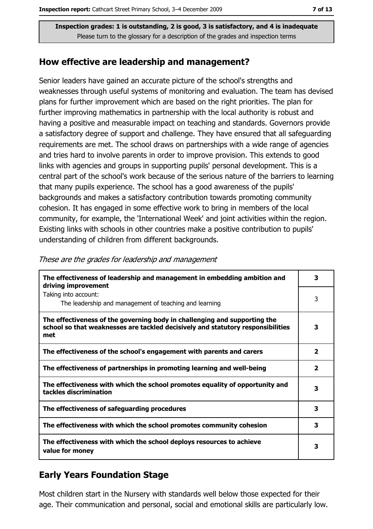#### How effective are leadership and management?

Senior leaders have gained an accurate picture of the school's strengths and weaknesses through useful systems of monitoring and evaluation. The team has devised plans for further improvement which are based on the right priorities. The plan for further improving mathematics in partnership with the local authority is robust and having a positive and measurable impact on teaching and standards. Governors provide a satisfactory degree of support and challenge. They have ensured that all safeguarding requirements are met. The school draws on partnerships with a wide range of agencies and tries hard to involve parents in order to improve provision. This extends to good links with agencies and groups in supporting pupils' personal development. This is a central part of the school's work because of the serious nature of the barriers to learning that many pupils experience. The school has a good awareness of the pupils' backgrounds and makes a satisfactory contribution towards promoting community cohesion. It has engaged in some effective work to bring in members of the local community, for example, the 'International Week' and joint activities within the region. Existing links with schools in other countries make a positive contribution to pupils' understanding of children from different backgrounds.

| The effectiveness of leadership and management in embedding ambition and<br>driving improvement                                                                     | 3                       |
|---------------------------------------------------------------------------------------------------------------------------------------------------------------------|-------------------------|
| Taking into account:<br>The leadership and management of teaching and learning                                                                                      | 3                       |
| The effectiveness of the governing body in challenging and supporting the<br>school so that weaknesses are tackled decisively and statutory responsibilities<br>met | 3                       |
| The effectiveness of the school's engagement with parents and carers                                                                                                | $\overline{\mathbf{2}}$ |
| The effectiveness of partnerships in promoting learning and well-being                                                                                              | $\mathbf{z}$            |
| The effectiveness with which the school promotes equality of opportunity and<br>tackles discrimination                                                              | 3                       |
| The effectiveness of safeguarding procedures                                                                                                                        | 3                       |
| The effectiveness with which the school promotes community cohesion                                                                                                 | 3                       |
| The effectiveness with which the school deploys resources to achieve<br>value for money                                                                             | 3                       |

These are the grades for leadership and management

## **Early Years Foundation Stage**

Most children start in the Nursery with standards well below those expected for their age. Their communication and personal, social and emotional skills are particularly low.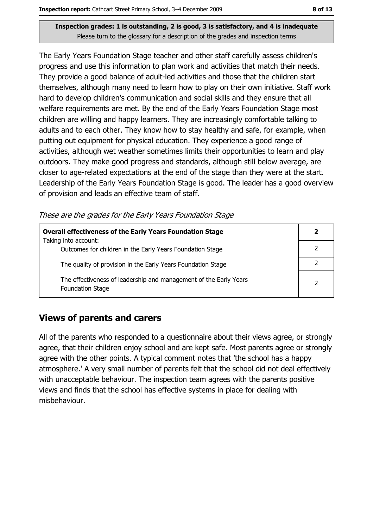The Early Years Foundation Stage teacher and other staff carefully assess children's progress and use this information to plan work and activities that match their needs. They provide a good balance of adult-led activities and those that the children start themselves, although many need to learn how to play on their own initiative. Staff work hard to develop children's communication and social skills and they ensure that all welfare requirements are met. By the end of the Early Years Foundation Stage most children are willing and happy learners. They are increasingly comfortable talking to adults and to each other. They know how to stay healthy and safe, for example, when putting out equipment for physical education. They experience a good range of activities, although wet weather sometimes limits their opportunities to learn and play outdoors. They make good progress and standards, although still below average, are closer to age-related expectations at the end of the stage than they were at the start. Leadership of the Early Years Foundation Stage is good. The leader has a good overview of provision and leads an effective team of staff.

These are the grades for the Early Years Foundation Stage

| <b>Overall effectiveness of the Early Years Foundation Stage</b><br>Taking into account:     | $\mathbf{2}$   |
|----------------------------------------------------------------------------------------------|----------------|
| Outcomes for children in the Early Years Foundation Stage                                    |                |
| The quality of provision in the Early Years Foundation Stage                                 |                |
| The effectiveness of leadership and management of the Early Years<br><b>Foundation Stage</b> | $\overline{2}$ |

## **Views of parents and carers**

All of the parents who responded to a questionnaire about their views agree, or strongly agree, that their children enjoy school and are kept safe. Most parents agree or strongly agree with the other points. A typical comment notes that 'the school has a happy atmosphere.' A very small number of parents felt that the school did not deal effectively with unacceptable behaviour. The inspection team agrees with the parents positive views and finds that the school has effective systems in place for dealing with misbehaviour.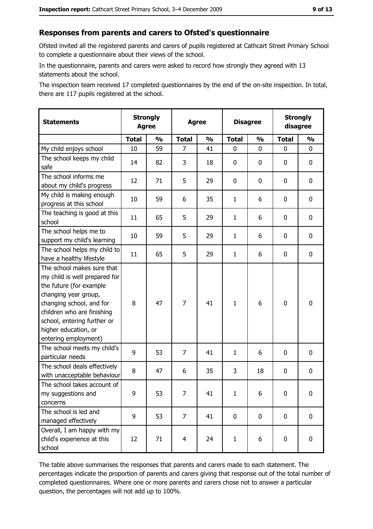#### Responses from parents and carers to Ofsted's questionnaire

Ofsted invited all the registered parents and carers of pupils registered at Cathcart Street Primary School to complete a questionnaire about their views of the school.

In the questionnaire, parents and carers were asked to record how strongly they agreed with 13 statements about the school.

The inspection team received 17 completed questionnaires by the end of the on-site inspection. In total, there are 117 pupils registered at the school.

| <b>Statements</b>                                                                                                                                                                                                                                       | <b>Strongly</b><br><b>Agree</b> |               | <b>Agree</b>   |               | <b>Disagree</b> |               | <b>Strongly</b><br>disagree |               |
|---------------------------------------------------------------------------------------------------------------------------------------------------------------------------------------------------------------------------------------------------------|---------------------------------|---------------|----------------|---------------|-----------------|---------------|-----------------------------|---------------|
|                                                                                                                                                                                                                                                         | <b>Total</b>                    | $\frac{0}{0}$ | <b>Total</b>   | $\frac{0}{0}$ | <b>Total</b>    | $\frac{0}{0}$ | <b>Total</b>                | $\frac{1}{2}$ |
| My child enjoys school                                                                                                                                                                                                                                  | 10                              | 59            | 7              | 41            | 0               | 0             | $\Omega$                    | 0             |
| The school keeps my child<br>safe                                                                                                                                                                                                                       | 14                              | 82            | 3              | 18            | 0               | 0             | 0                           | $\mathbf 0$   |
| The school informs me<br>about my child's progress                                                                                                                                                                                                      | 12                              | 71            | 5              | 29            | 0               | 0             | 0                           | $\mathbf 0$   |
| My child is making enough<br>progress at this school                                                                                                                                                                                                    | 10                              | 59            | 6              | 35            | $\mathbf{1}$    | 6             | 0                           | 0             |
| The teaching is good at this<br>school                                                                                                                                                                                                                  | 11                              | 65            | 5              | 29            | $\mathbf{1}$    | 6             | 0                           | 0             |
| The school helps me to<br>support my child's learning                                                                                                                                                                                                   | 10                              | 59            | 5              | 29            | $\mathbf{1}$    | 6             | 0                           | $\mathbf 0$   |
| The school helps my child to<br>have a healthy lifestyle                                                                                                                                                                                                | 11                              | 65            | 5              | 29            | $\mathbf{1}$    | 6             | 0                           | $\mathbf 0$   |
| The school makes sure that<br>my child is well prepared for<br>the future (for example<br>changing year group,<br>changing school, and for<br>children who are finishing<br>school, entering further or<br>higher education, or<br>entering employment) | 8                               | 47            | $\overline{7}$ | 41            | $\mathbf{1}$    | 6             | $\mathbf 0$                 | $\mathbf 0$   |
| The school meets my child's<br>particular needs                                                                                                                                                                                                         | 9                               | 53            | $\overline{7}$ | 41            | $\mathbf{1}$    | 6             | 0                           | 0             |
| The school deals effectively<br>with unacceptable behaviour                                                                                                                                                                                             | 8                               | 47            | 6              | 35            | 3               | 18            | 0                           | $\mathbf 0$   |
| The school takes account of<br>my suggestions and<br>concerns                                                                                                                                                                                           | 9                               | 53            | 7              | 41            | $\mathbf{1}$    | 6             | 0                           | 0             |
| The school is led and<br>managed effectively                                                                                                                                                                                                            | 9                               | 53            | $\overline{7}$ | 41            | $\mathbf 0$     | 0             | $\bf{0}$                    | $\mathbf 0$   |
| Overall, I am happy with my<br>child's experience at this<br>school                                                                                                                                                                                     | 12                              | 71            | $\overline{4}$ | 24            | $\mathbf{1}$    | 6             | $\mathbf 0$                 | $\mathbf 0$   |

The table above summarises the responses that parents and carers made to each statement. The percentages indicate the proportion of parents and carers giving that response out of the total number of completed questionnaires. Where one or more parents and carers chose not to answer a particular question, the percentages will not add up to 100%.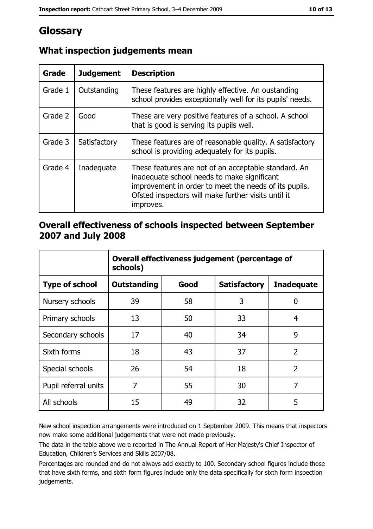# Glossary

| Grade   | <b>Judgement</b> | <b>Description</b>                                                                                                                                                                                                               |
|---------|------------------|----------------------------------------------------------------------------------------------------------------------------------------------------------------------------------------------------------------------------------|
| Grade 1 | Outstanding      | These features are highly effective. An oustanding<br>school provides exceptionally well for its pupils' needs.                                                                                                                  |
| Grade 2 | Good             | These are very positive features of a school. A school<br>that is good is serving its pupils well.                                                                                                                               |
| Grade 3 | Satisfactory     | These features are of reasonable quality. A satisfactory<br>school is providing adequately for its pupils.                                                                                                                       |
| Grade 4 | Inadequate       | These features are not of an acceptable standard. An<br>inadequate school needs to make significant<br>improvement in order to meet the needs of its pupils.<br>Ofsted inspectors will make further visits until it<br>improves. |

# What inspection judgements mean

### Overall effectiveness of schools inspected between September 2007 and July 2008

|                       | Overall effectiveness judgement (percentage of<br>schools) |      |                     |                   |
|-----------------------|------------------------------------------------------------|------|---------------------|-------------------|
| <b>Type of school</b> | <b>Outstanding</b>                                         | Good | <b>Satisfactory</b> | <b>Inadequate</b> |
| Nursery schools       | 39                                                         | 58   | 3                   | 0                 |
| Primary schools       | 13                                                         | 50   | 33                  | 4                 |
| Secondary schools     | 17                                                         | 40   | 34                  | 9                 |
| Sixth forms           | 18                                                         | 43   | 37                  | $\overline{2}$    |
| Special schools       | 26                                                         | 54   | 18                  | $\overline{2}$    |
| Pupil referral units  | 7                                                          | 55   | 30                  | 7                 |
| All schools           | 15                                                         | 49   | 32                  | 5                 |

New school inspection arrangements were introduced on 1 September 2009. This means that inspectors now make some additional judgements that were not made previously.

The data in the table above were reported in The Annual Report of Her Majesty's Chief Inspector of Education, Children's Services and Skills 2007/08.

Percentages are rounded and do not always add exactly to 100. Secondary school figures include those that have sixth forms, and sixth form figures include only the data specifically for sixth form inspection judgements.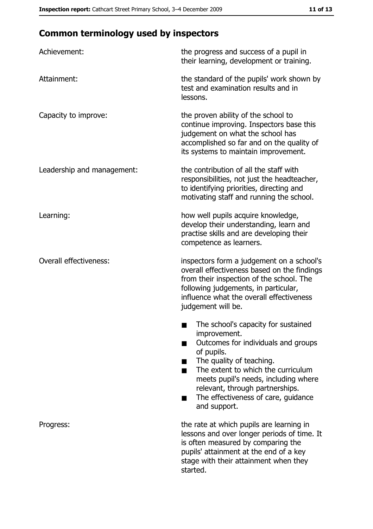# **Common terminology used by inspectors**

| Achievement:                  | the progress and success of a pupil in<br>their learning, development or training.                                                                                                                                                                                                                                |
|-------------------------------|-------------------------------------------------------------------------------------------------------------------------------------------------------------------------------------------------------------------------------------------------------------------------------------------------------------------|
| Attainment:                   | the standard of the pupils' work shown by<br>test and examination results and in<br>lessons.                                                                                                                                                                                                                      |
| Capacity to improve:          | the proven ability of the school to<br>continue improving. Inspectors base this<br>judgement on what the school has<br>accomplished so far and on the quality of<br>its systems to maintain improvement.                                                                                                          |
| Leadership and management:    | the contribution of all the staff with<br>responsibilities, not just the headteacher,<br>to identifying priorities, directing and<br>motivating staff and running the school.                                                                                                                                     |
| Learning:                     | how well pupils acquire knowledge,<br>develop their understanding, learn and<br>practise skills and are developing their<br>competence as learners.                                                                                                                                                               |
| <b>Overall effectiveness:</b> | inspectors form a judgement on a school's<br>overall effectiveness based on the findings<br>from their inspection of the school. The<br>following judgements, in particular,<br>influence what the overall effectiveness<br>judgement will be.                                                                    |
|                               | The school's capacity for sustained<br>improvement.<br>Outcomes for individuals and groups<br>of pupils.<br>The quality of teaching.<br>The extent to which the curriculum<br>meets pupil's needs, including where<br>relevant, through partnerships.<br>The effectiveness of care, guidance<br>■<br>and support. |
| Progress:                     | the rate at which pupils are learning in<br>lessons and over longer periods of time. It<br>is often measured by comparing the<br>pupils' attainment at the end of a key<br>stage with their attainment when they<br>started.                                                                                      |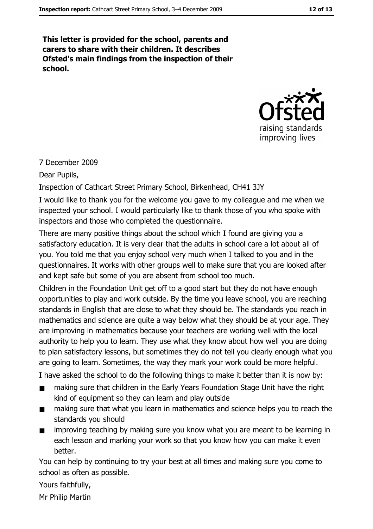This letter is provided for the school, parents and carers to share with their children. It describes Ofsted's main findings from the inspection of their school.



#### 7 December 2009

Dear Pupils,

Inspection of Cathcart Street Primary School, Birkenhead, CH41 3JY

I would like to thank you for the welcome you gave to my colleague and me when we inspected your school. I would particularly like to thank those of you who spoke with inspectors and those who completed the questionnaire.

There are many positive things about the school which I found are giving you a satisfactory education. It is very clear that the adults in school care a lot about all of you. You told me that you enjoy school very much when I talked to you and in the questionnaires. It works with other groups well to make sure that you are looked after and kept safe but some of you are absent from school too much.

Children in the Foundation Unit get off to a good start but they do not have enough opportunities to play and work outside. By the time you leave school, you are reaching standards in English that are close to what they should be. The standards you reach in mathematics and science are quite a way below what they should be at your age. They are improving in mathematics because your teachers are working well with the local authority to help you to learn. They use what they know about how well you are doing to plan satisfactory lessons, but sometimes they do not tell you clearly enough what you are going to learn. Sometimes, the way they mark your work could be more helpful.

I have asked the school to do the following things to make it better than it is now by:

- $\blacksquare$ making sure that children in the Early Years Foundation Stage Unit have the right kind of equipment so they can learn and play outside
- making sure that what you learn in mathematics and science helps you to reach the  $\blacksquare$ standards you should
- improving teaching by making sure you know what you are meant to be learning in  $\blacksquare$ each lesson and marking your work so that you know how you can make it even hetter.

You can help by continuing to try your best at all times and making sure you come to school as often as possible.

Yours faithfully,

Mr Philip Martin